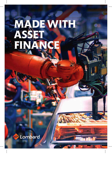# MADE WITH ASSET SELL'ANC

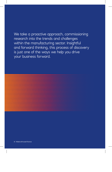We take a proactive approach, commissioning research into the trends and challenges within the manufacturing sector. Insightful and forward thinking, this process of discovery is just one of the ways we help you drive your business forward.

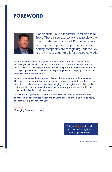### FOREWORD



Globalisation. Fourth Industrial Revolution (4IR). Brexit. These three expressions encapsulate the major challenges that face UK manufacturers. But they also represent opportunity. Forwardlooking companies are recognising that the key to growth is to adapt to this fast-changing world.

To benefit from globalisation, manufacturers must embrace new markets. Following Brexit, the demand for UK manufactured goods in non-EU markets particularly in emerging economies - offers real potential and the government is strongly supportive of UK exports. Its Exporting is Great campaign offers lots of advice to potential exporters.

To look outwards with confidence, UK manufacturers must first look inward. 4IR is increasing automation and generating greater insight into what customers want. It's up to businesses to use the emerging technologies and tools to make their operations leaner, more focused - or conversely, more diversified - and more productive than their competitors.

We're here to support you. We have a long history of helping manufacturers capitalise on opportunities for growth by using asset finance and we'll be happy to share our experience with you.

### **Ian Isaac** Managing Director, Lombard

Visit **great.gov.uk** to find out more and to register for overseas opportunities.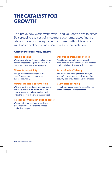# THE CATALYST FOR GROWTH

This brave new world won't wait - and you don't have to either. By spreading the cost of investment over time, asset finance lets you invest in the equipment you need without tying up working capital or putting undue pressure on cash flow.

### **Asset finance offers many benefits**

### **Flexible options**

We prepare tailored finance packages that help businesses to acquire assets without over-stretching their working capital.

#### **Eliminate uncertainty**

Budget is fixed for the length of the asset finance contract, so you can budget accurately.

### **Minimise the risks of ownership**

With our leasing products, we could share the 'residual risk' with you so you don't have to worry about how much value is left in the asset at the end of the contract.

### **Release cash tied up in existing assets**

We can refinance equipment you have already purchased in order to release capital back to you.

### **Open up additional credit lines**

Asset finance complements the cash resources you already have, as well as other bank credit lines like overdrafts and loans.

### **Access funds efficiently**

The loan is secured against the asset, so we don't always need to look for additional security, so it should speed up the process.

### **Cut wasted spending**

If you'll only use an asset for part of its life, the finance terms will reflect that.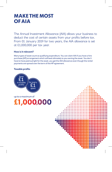# MAKE THE MOST OF AIA

The Annual Investment Allowance (AIA) allows your business to deduct the cost of certain assets from your profits before tax. From 01 January 2019 for two years, the AIA allowance is set at £1,000,000 per tax year.

### **How is it relevant?**

Many types of asset count as qualifying expenditure. You can claim AIA if you have a hire purchase (HP) arrangement which will lead ultimately to you owning the asset. You don't have to have paid outright for the asset, you get the AIA allowance even though the rental payments are spread over the term of the HP agreement.

### **Taxable profits**



up to a maximum of £1,000,000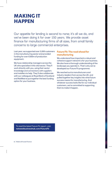# MAKING IT **HAPPEN**

Our appetite for lending is second to none; it's all we do, and we've been doing it for over 150 years. We provide asset finance for manufacturing firms of all sizes, from small family concerns to large commercial enterprises.

Last year, we supported over 3,000 customers in the manufacturing sector and provided funding for over £500m of production equipment.

We have relationship managers across the UK who specialise in this vital sector. They'll work directly with you, using their sector knowledge and connections with suppliers and installers to help. They'll also collaborate with our colleagues at Royal Bank of Scotland and NatWest to put together the best funding option for your business.

### **Future Fit: The road ahead for manufacturing**

We understand how important a robust and cohesive support network is for your business. We also have a thorough understanding of the landscape you operate in. That's why we've developed our Future Fit programme.

We reached out to manufacturers and industry leaders from across the UK, and pulled together key insights into what future success means for manufacturing. And whatever success looks like for our individual customers, we're committed to supporting them to make it happen.

To read the latest Future Fit report, visit: **natwestbusinesshub.com/FutureFit**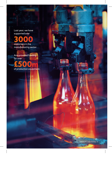Last year, we have supported over



And provided funding for over

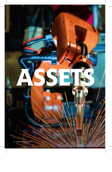ASSETS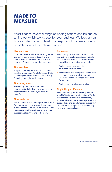# MADE TO MEASURE

Asset finance covers a range of funding options and it's our job to find out which works best for your business. We look at your financial situation and develop a bespoke solution using one or a combination of the following options.

### **Hire purchase**

Over the course of a hire purchase agreement you make regular payments and have an option to buy your asset at the end of the contract. Or you can return the asset to us.

### **Contract hire**

A type of operating lease for cars and vans, supplied by Lombard Vehicle Solutions (LVS). It's a complete solution that covers sourcing, financing, managing and disposal.

### **Operating lease**

Particularly suitable for equipment you need for just a limited time. You make rental payments over the period you need the asset for.

### **Finance lease**

With a finance lease, you simply rent the asset from us and we calculate rental payments over an agreed term. Although you never own the asset yourself, we still give you a share of the resale value at the end of the term.

### **Refinance**

This is a way for you to unlock the capital tied up in your existing assets and redeploy it elsewhere in the business. Refinance can be useful in a number of ways, including:

- Replenish cash resources for re-investment elsewhere
- Release land or buildings which have been used as security to fund other assets; we would use the refinanced asset itself for security
- Replace 3rd party investor funding

### **Capital Import Finance**

This is something we offer in conjunction with NatWest's team of International Trade Advisors to help manufacturers source, import and install specialist equipment from abroad. It's a one-stop funding package that reduces the challenges and risks of buying from overseas suppliers.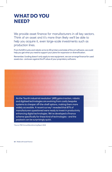### WHAT DO YOU NEED?

We provide asset finance for manufacturers in all key sectors. Think of an asset and it's more than likely we'll be able to help you acquire it, even large-scale investments such as production lines.

From forklift trucks and robotic arms to 3D printers and state of the art software, we could help you get what you need to support your plans for expansion or diversification.

Remember, funding doesn't only apply to new equipment, we can arrange finance for used assets too - and even against the IP value of your proprietary software.

...................................

As the 'fourth industrial revolution' (4IR) gains traction, robotic and digitised technologies are evolving from costly bespoke systems to cheaper off-the-shelf options, making them more widely accessible. A recent survey\* revealed that 87% of manufacturers questioned were ready to invest in productivity enhancing digital technologies. We've developed a finance scheme specifically for these kind of technologies - and the payback can be surprisingly quick.

\*Source: PWC Annual Manufacturing Report 2018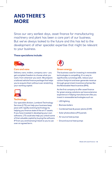# AND THERE'S MORE

Since our very earliest days, asset finance for manufacturing machinery and plant has been a core part of our business. But we've always looked to the future and this has led to the development of other specialist expertise that might be relevant to your business.

### **These specialisms include:**



#### **Cars and vans**

Delivery vans, trailers, company cars – you get complete freedom to choose what you want, from wherever you want. We prepare a tailored vehicle finance package that helps you to acquire them without over-stretching your working capital.



#### **Technology**

Our specialist division, Lombard Technology Services (LTS) can help your business keep pace with rapidly evolving technology by helping you finance state of the art IT assets. If you have invested in developing your own software, LTS could also help you unlock some of that valuable capital by buying the software IP from you and licensing it back to you to use over an agreed term.



#### **Green energy**

The business case for investing in renewable technologies is compelling. It's a way to significantly cut energy bills, reduce your carbon footprint and even generate revenue through government incentive schemes like the Renewable Heat Incentive (RHI).

As the first company to offer asset finance for green energy solutions we have extensive experience in helping manufacturers like you invest in renewable technologies such as:

- LED lighting
- Biomass boilers
- Combined heat & power plants (CHP)
- Solar photovoltaics (PV) panels
- Air source heat pumps
- Ground source heat pumps